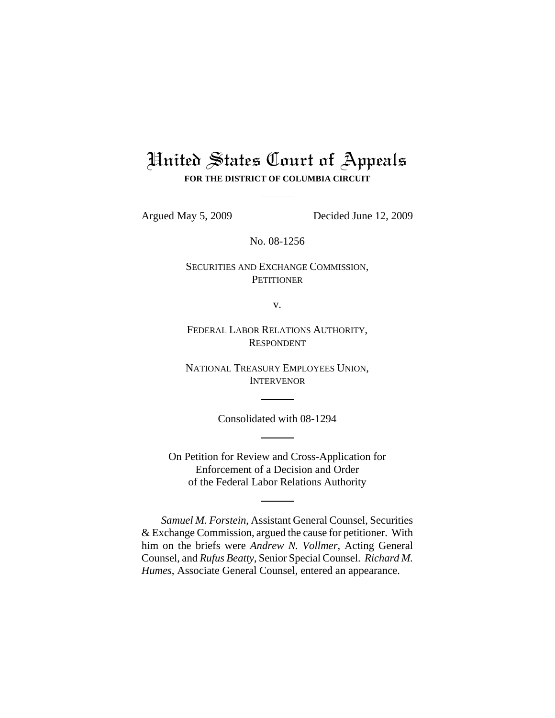## United States Court of Appeals **FOR THE DISTRICT OF COLUMBIA CIRCUIT**

Argued May 5, 2009 Decided June 12, 2009

No. 08-1256

## SECURITIES AND EXCHANGE COMMISSION, **PETITIONER**

v.

FEDERAL LABOR RELATIONS AUTHORITY, RESPONDENT

NATIONAL TREASURY EMPLOYEES UNION, **INTERVENOR** 

Consolidated with 08-1294

On Petition for Review and Cross-Application for Enforcement of a Decision and Order of the Federal Labor Relations Authority

*Samuel M. Forstein*, Assistant General Counsel, Securities & Exchange Commission, argued the cause for petitioner. With him on the briefs were *Andrew N. Vollmer*, Acting General Counsel, and *Rufus Beatty*, Senior Special Counsel. *Richard M. Humes*, Associate General Counsel, entered an appearance.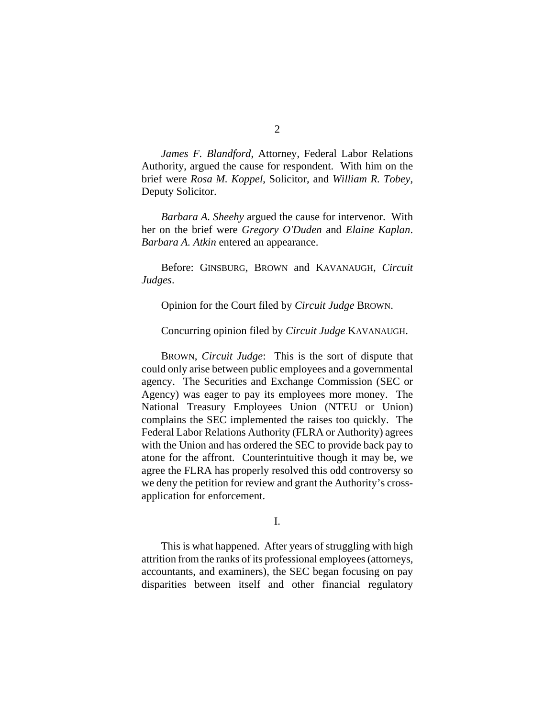*James F. Blandford*, Attorney, Federal Labor Relations Authority, argued the cause for respondent. With him on the brief were *Rosa M. Koppel*, Solicitor, and *William R. Tobey*, Deputy Solicitor.

*Barbara A. Sheehy* argued the cause for intervenor. With her on the brief were *Gregory O'Duden* and *Elaine Kaplan*. *Barbara A. Atkin* entered an appearance.

Before: GINSBURG, BROWN and KAVANAUGH, *Circuit Judges*.

Opinion for the Court filed by *Circuit Judge* BROWN.

Concurring opinion filed by *Circuit Judge* KAVANAUGH.

BROWN, *Circuit Judge*: This is the sort of dispute that could only arise between public employees and a governmental agency. The Securities and Exchange Commission (SEC or Agency) was eager to pay its employees more money. The National Treasury Employees Union (NTEU or Union) complains the SEC implemented the raises too quickly. The Federal Labor Relations Authority (FLRA or Authority) agrees with the Union and has ordered the SEC to provide back pay to atone for the affront. Counterintuitive though it may be, we agree the FLRA has properly resolved this odd controversy so we deny the petition for review and grant the Authority's crossapplication for enforcement.

I.

This is what happened. After years of struggling with high attrition from the ranks of its professional employees (attorneys, accountants, and examiners), the SEC began focusing on pay disparities between itself and other financial regulatory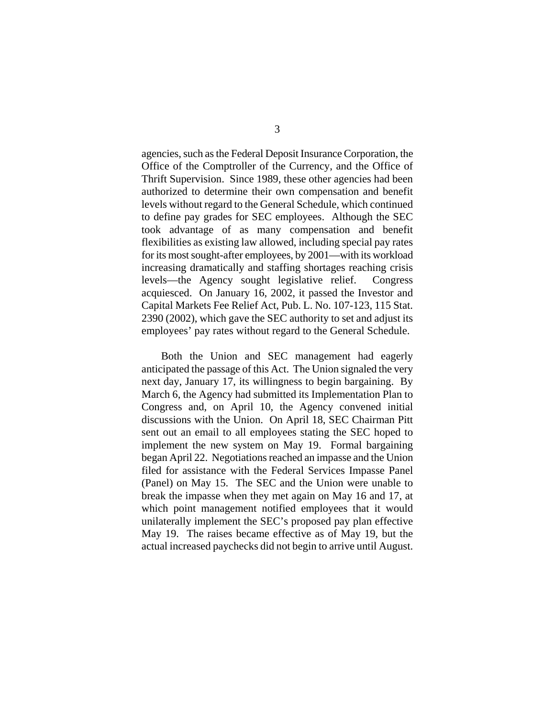agencies, such as the Federal Deposit Insurance Corporation, the Office of the Comptroller of the Currency, and the Office of Thrift Supervision. Since 1989, these other agencies had been authorized to determine their own compensation and benefit levels without regard to the General Schedule, which continued to define pay grades for SEC employees. Although the SEC took advantage of as many compensation and benefit flexibilities as existing law allowed, including special pay rates for its most sought-after employees, by 2001—with its workload increasing dramatically and staffing shortages reaching crisis levels—the Agency sought legislative relief. Congress acquiesced. On January 16, 2002, it passed the Investor and Capital Markets Fee Relief Act, Pub. L. No. 107-123, 115 Stat. 2390 (2002), which gave the SEC authority to set and adjust its employees' pay rates without regard to the General Schedule.

Both the Union and SEC management had eagerly anticipated the passage of this Act. The Union signaled the very next day, January 17, its willingness to begin bargaining. By March 6, the Agency had submitted its Implementation Plan to Congress and, on April 10, the Agency convened initial discussions with the Union. On April 18, SEC Chairman Pitt sent out an email to all employees stating the SEC hoped to implement the new system on May 19. Formal bargaining began April 22. Negotiations reached an impasse and the Union filed for assistance with the Federal Services Impasse Panel (Panel) on May 15. The SEC and the Union were unable to break the impasse when they met again on May 16 and 17, at which point management notified employees that it would unilaterally implement the SEC's proposed pay plan effective May 19. The raises became effective as of May 19, but the actual increased paychecks did not begin to arrive until August.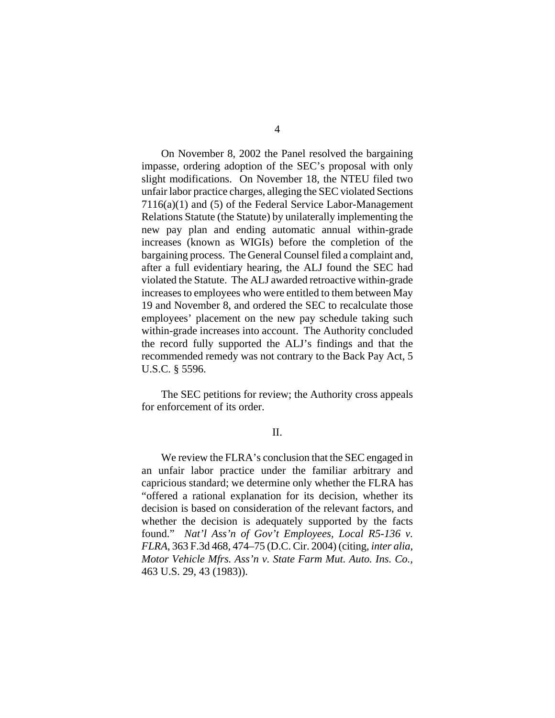On November 8, 2002 the Panel resolved the bargaining impasse, ordering adoption of the SEC's proposal with only slight modifications. On November 18, the NTEU filed two unfair labor practice charges, alleging the SEC violated Sections 7116(a)(1) and (5) of the Federal Service Labor-Management Relations Statute (the Statute) by unilaterally implementing the new pay plan and ending automatic annual within-grade increases (known as WIGIs) before the completion of the bargaining process. The General Counsel filed a complaint and, after a full evidentiary hearing, the ALJ found the SEC had violated the Statute. The ALJ awarded retroactive within-grade increases to employees who were entitled to them between May 19 and November 8, and ordered the SEC to recalculate those employees' placement on the new pay schedule taking such within-grade increases into account. The Authority concluded the record fully supported the ALJ's findings and that the recommended remedy was not contrary to the Back Pay Act, 5 U.S.C. § 5596.

The SEC petitions for review; the Authority cross appeals for enforcement of its order.

## II.

We review the FLRA's conclusion that the SEC engaged in an unfair labor practice under the familiar arbitrary and capricious standard; we determine only whether the FLRA has "offered a rational explanation for its decision, whether its decision is based on consideration of the relevant factors, and whether the decision is adequately supported by the facts found." *Nat'l Ass'n of Gov't Employees, Local R5-136 v. FLRA*, 363 F.3d 468, 474–75 (D.C. Cir. 2004) (citing, *inter alia*, *Motor Vehicle Mfrs. Ass'n v. State Farm Mut. Auto. Ins. Co.,* 463 U.S. 29, 43 (1983)).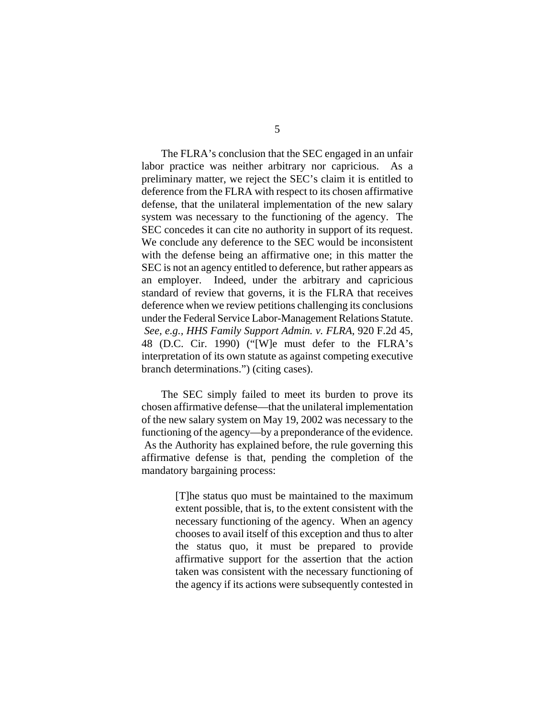The FLRA's conclusion that the SEC engaged in an unfair labor practice was neither arbitrary nor capricious. As a preliminary matter, we reject the SEC's claim it is entitled to deference from the FLRA with respect to its chosen affirmative defense, that the unilateral implementation of the new salary system was necessary to the functioning of the agency. The SEC concedes it can cite no authority in support of its request. We conclude any deference to the SEC would be inconsistent with the defense being an affirmative one; in this matter the SEC is not an agency entitled to deference, but rather appears as an employer. Indeed, under the arbitrary and capricious standard of review that governs, it is the FLRA that receives deference when we review petitions challenging its conclusions under the Federal Service Labor-Management Relations Statute. *See, e.g., HHS Family Support Admin. v. FLRA*, 920 F.2d 45, 48 (D.C. Cir. 1990) ("[W]e must defer to the FLRA's interpretation of its own statute as against competing executive branch determinations.") (citing cases).

 The SEC simply failed to meet its burden to prove its chosen affirmative defense—that the unilateral implementation of the new salary system on May 19, 2002 was necessary to the functioning of the agency—by a preponderance of the evidence. As the Authority has explained before, the rule governing this affirmative defense is that, pending the completion of the mandatory bargaining process:

> [T]he status quo must be maintained to the maximum extent possible, that is, to the extent consistent with the necessary functioning of the agency. When an agency chooses to avail itself of this exception and thus to alter the status quo, it must be prepared to provide affirmative support for the assertion that the action taken was consistent with the necessary functioning of the agency if its actions were subsequently contested in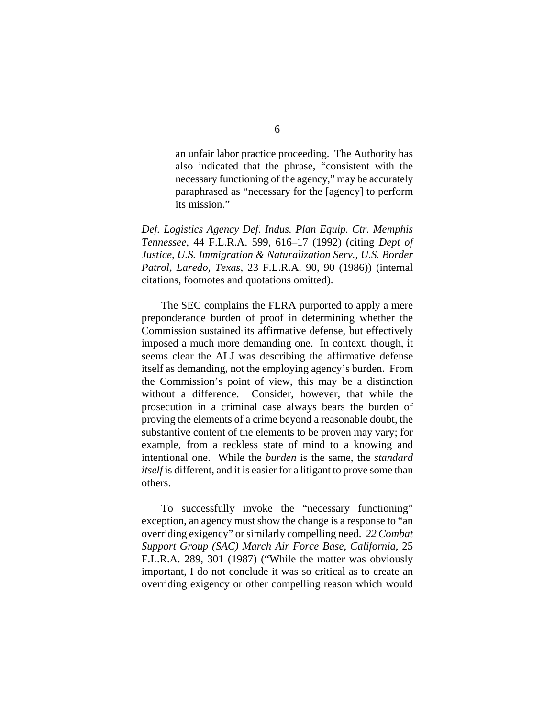an unfair labor practice proceeding. The Authority has also indicated that the phrase, "consistent with the necessary functioning of the agency," may be accurately paraphrased as "necessary for the [agency] to perform its mission."

*Def. Logistics Agency Def. Indus. Plan Equip. Ctr. Memphis Tennessee*, 44 F.L.R.A. 599, 616–17 (1992) (citing *Dept of Justice, U.S. Immigration & Naturalization Serv., U.S. Border Patrol, Laredo, Texas*, 23 F.L.R.A. 90, 90 (1986)) (internal citations, footnotes and quotations omitted).

The SEC complains the FLRA purported to apply a mere preponderance burden of proof in determining whether the Commission sustained its affirmative defense, but effectively imposed a much more demanding one. In context, though, it seems clear the ALJ was describing the affirmative defense itself as demanding, not the employing agency's burden. From the Commission's point of view, this may be a distinction without a difference. Consider, however, that while the prosecution in a criminal case always bears the burden of proving the elements of a crime beyond a reasonable doubt, the substantive content of the elements to be proven may vary; for example, from a reckless state of mind to a knowing and intentional one. While the *burden* is the same, the *standard itself* is different, and it is easier for a litigant to prove some than others.

To successfully invoke the "necessary functioning" exception, an agency must show the change is a response to "an overriding exigency" or similarly compelling need. *22 Combat Support Group (SAC) March Air Force Base, California*, 25 F.L.R.A. 289, 301 (1987) ("While the matter was obviously important, I do not conclude it was so critical as to create an overriding exigency or other compelling reason which would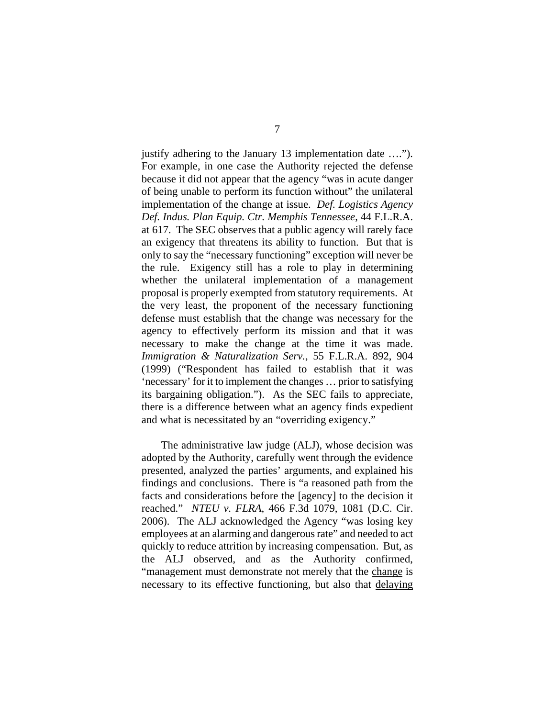justify adhering to the January 13 implementation date …."). For example, in one case the Authority rejected the defense because it did not appear that the agency "was in acute danger of being unable to perform its function without" the unilateral implementation of the change at issue. *Def. Logistics Agency Def. Indus. Plan Equip. Ctr. Memphis Tennessee*, 44 F.L.R.A. at 617. The SEC observes that a public agency will rarely face an exigency that threatens its ability to function. But that is only to say the "necessary functioning" exception will never be the rule. Exigency still has a role to play in determining whether the unilateral implementation of a management proposal is properly exempted from statutory requirements. At the very least, the proponent of the necessary functioning defense must establish that the change was necessary for the agency to effectively perform its mission and that it was necessary to make the change at the time it was made. *Immigration & Naturalization Serv.*, 55 F.L.R.A. 892, 904 (1999) ("Respondent has failed to establish that it was 'necessary' for it to implement the changes … prior to satisfying its bargaining obligation."). As the SEC fails to appreciate, there is a difference between what an agency finds expedient and what is necessitated by an "overriding exigency."

The administrative law judge (ALJ), whose decision was adopted by the Authority, carefully went through the evidence presented, analyzed the parties' arguments, and explained his findings and conclusions. There is "a reasoned path from the facts and considerations before the [agency] to the decision it reached." *NTEU v. FLRA*, 466 F.3d 1079, 1081 (D.C. Cir. 2006). The ALJ acknowledged the Agency "was losing key employees at an alarming and dangerous rate" and needed to act quickly to reduce attrition by increasing compensation. But, as the ALJ observed, and as the Authority confirmed, "management must demonstrate not merely that the change is necessary to its effective functioning, but also that delaying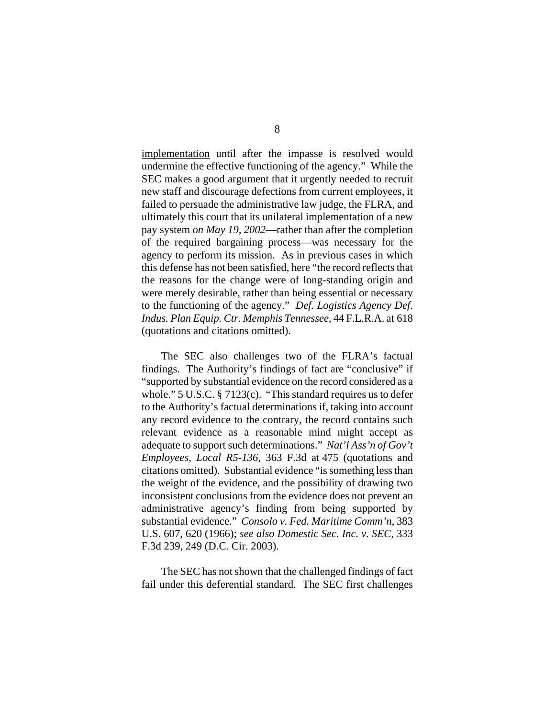implementation until after the impasse is resolved would undermine the effective functioning of the agency." While the SEC makes a good argument that it urgently needed to recruit new staff and discourage defections from current employees, it failed to persuade the administrative law judge, the FLRA, and ultimately this court that its unilateral implementation of a new pay system *on May 19, 2002*—rather than after the completion of the required bargaining process—was necessary for the agency to perform its mission. As in previous cases in which this defense has not been satisfied, here "the record reflects that the reasons for the change were of long-standing origin and were merely desirable, rather than being essential or necessary to the functioning of the agency." *Def. Logistics Agency Def. Indus. Plan Equip. Ctr. Memphis Tennessee*, 44 F.L.R.A. at 618 (quotations and citations omitted).

The SEC also challenges two of the FLRA's factual findings. The Authority's findings of fact are "conclusive" if "supported by substantial evidence on the record considered as a whole." 5 U.S.C. § 7123(c). "This standard requires us to defer to the Authority's factual determinations if, taking into account any record evidence to the contrary, the record contains such relevant evidence as a reasonable mind might accept as adequate to support such determinations." *Nat'l Ass'n of Gov't Employees, Local R5-136*, 363 F.3d at 475 (quotations and citations omitted). Substantial evidence "is something less than the weight of the evidence, and the possibility of drawing two inconsistent conclusions from the evidence does not prevent an administrative agency's finding from being supported by substantial evidence." *Consolo v. Fed. Maritime Comm'n*, 383 U.S. 607, 620 (1966); *see also Domestic Sec. Inc. v. SEC*, 333 F.3d 239, 249 (D.C. Cir. 2003).

The SEC has not shown that the challenged findings of fact fail under this deferential standard. The SEC first challenges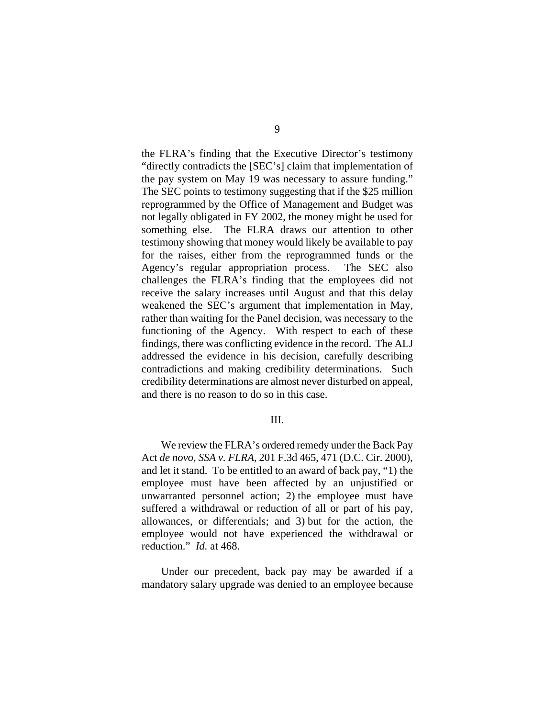the FLRA's finding that the Executive Director's testimony "directly contradicts the [SEC's] claim that implementation of the pay system on May 19 was necessary to assure funding." The SEC points to testimony suggesting that if the \$25 million reprogrammed by the Office of Management and Budget was not legally obligated in FY 2002, the money might be used for something else. The FLRA draws our attention to other testimony showing that money would likely be available to pay for the raises, either from the reprogrammed funds or the Agency's regular appropriation process. The SEC also challenges the FLRA's finding that the employees did not receive the salary increases until August and that this delay weakened the SEC's argument that implementation in May, rather than waiting for the Panel decision, was necessary to the functioning of the Agency. With respect to each of these findings, there was conflicting evidence in the record. The ALJ addressed the evidence in his decision, carefully describing contradictions and making credibility determinations. Such credibility determinations are almost never disturbed on appeal, and there is no reason to do so in this case.

## III.

We review the FLRA's ordered remedy under the Back Pay Act *de novo*, *SSA v. FLRA*, 201 F.3d 465, 471 (D.C. Cir. 2000), and let it stand. To be entitled to an award of back pay, "1) the employee must have been affected by an unjustified or unwarranted personnel action; 2) the employee must have suffered a withdrawal or reduction of all or part of his pay, allowances, or differentials; and 3) but for the action, the employee would not have experienced the withdrawal or reduction." *Id.* at 468.

Under our precedent, back pay may be awarded if a mandatory salary upgrade was denied to an employee because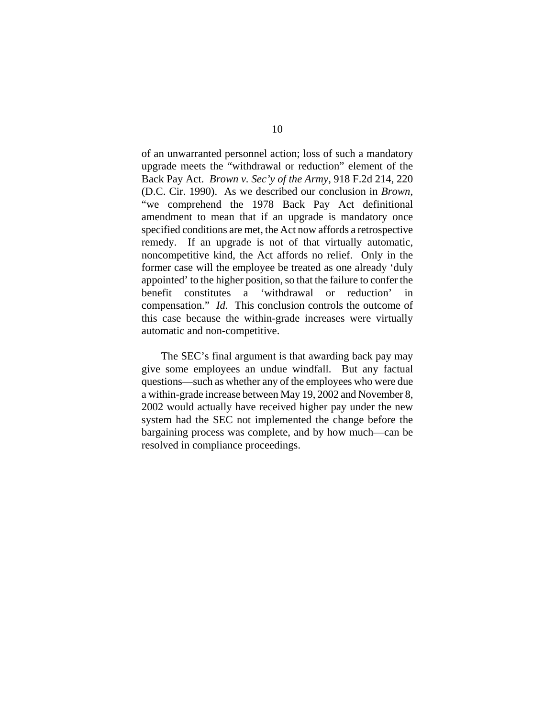of an unwarranted personnel action; loss of such a mandatory upgrade meets the "withdrawal or reduction" element of the Back Pay Act. *Brown v. Sec'y of the Army*, 918 F.2d 214, 220 (D.C. Cir. 1990). As we described our conclusion in *Brown*, "we comprehend the 1978 Back Pay Act definitional amendment to mean that if an upgrade is mandatory once specified conditions are met, the Act now affords a retrospective remedy. If an upgrade is not of that virtually automatic, noncompetitive kind, the Act affords no relief. Only in the former case will the employee be treated as one already 'duly appointed' to the higher position, so that the failure to confer the benefit constitutes a 'withdrawal or reduction' in compensation." *Id.* This conclusion controls the outcome of this case because the within-grade increases were virtually automatic and non-competitive.

The SEC's final argument is that awarding back pay may give some employees an undue windfall. But any factual questions—such as whether any of the employees who were due a within-grade increase between May 19, 2002 and November 8, 2002 would actually have received higher pay under the new system had the SEC not implemented the change before the bargaining process was complete, and by how much—can be resolved in compliance proceedings.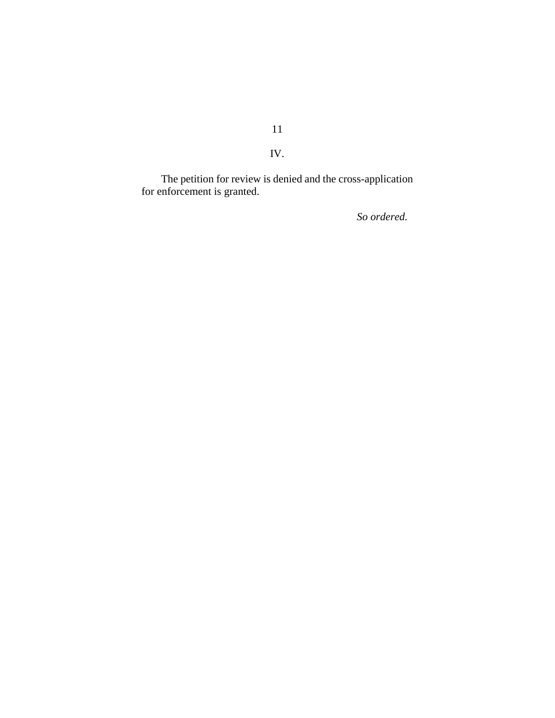IV.

The petition for review is denied and the cross-application for enforcement is granted.

*So ordered.* 

11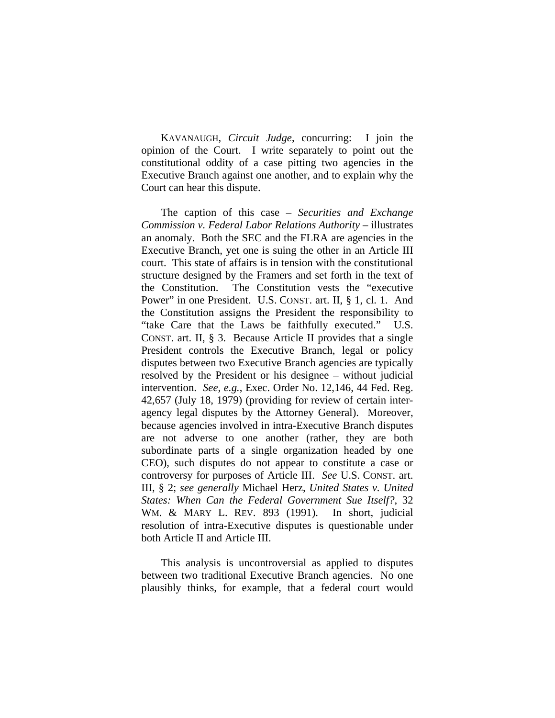KAVANAUGH, *Circuit Judge*, concurring: I join the opinion of the Court. I write separately to point out the constitutional oddity of a case pitting two agencies in the Executive Branch against one another, and to explain why the Court can hear this dispute.

The caption of this case – *Securities and Exchange Commission v. Federal Labor Relations Authority* – illustrates an anomaly. Both the SEC and the FLRA are agencies in the Executive Branch, yet one is suing the other in an Article III court. This state of affairs is in tension with the constitutional structure designed by the Framers and set forth in the text of the Constitution. The Constitution vests the "executive Power" in one President. U.S. CONST. art. II, § 1, cl. 1. And the Constitution assigns the President the responsibility to "take Care that the Laws be faithfully executed." U.S. CONST. art. II, § 3. Because Article II provides that a single President controls the Executive Branch, legal or policy disputes between two Executive Branch agencies are typically resolved by the President or his designee – without judicial intervention. *See, e.g.*, Exec. Order No. 12,146, 44 Fed. Reg. 42,657 (July 18, 1979) (providing for review of certain interagency legal disputes by the Attorney General). Moreover, because agencies involved in intra-Executive Branch disputes are not adverse to one another (rather, they are both subordinate parts of a single organization headed by one CEO), such disputes do not appear to constitute a case or controversy for purposes of Article III. *See* U.S. CONST. art. III, § 2; *see generally* Michael Herz, *United States v. United States: When Can the Federal Government Sue Itself?*, 32 WM. & MARY L. REV. 893 (1991). In short, judicial resolution of intra-Executive disputes is questionable under both Article II and Article III.

This analysis is uncontroversial as applied to disputes between two traditional Executive Branch agencies. No one plausibly thinks, for example, that a federal court would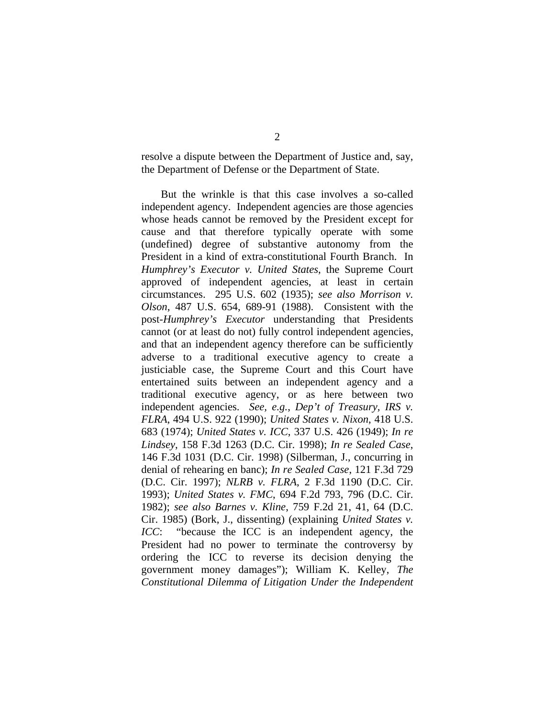resolve a dispute between the Department of Justice and, say, the Department of Defense or the Department of State.

But the wrinkle is that this case involves a so-called independent agency. Independent agencies are those agencies whose heads cannot be removed by the President except for cause and that therefore typically operate with some (undefined) degree of substantive autonomy from the President in a kind of extra-constitutional Fourth Branch. In *Humphrey's Executor v. United States*, the Supreme Court approved of independent agencies, at least in certain circumstances. 295 U.S. 602 (1935); *see also Morrison v. Olson*, 487 U.S. 654, 689-91 (1988). Consistent with the post-*Humphrey's Executor* understanding that Presidents cannot (or at least do not) fully control independent agencies, and that an independent agency therefore can be sufficiently adverse to a traditional executive agency to create a justiciable case, the Supreme Court and this Court have entertained suits between an independent agency and a traditional executive agency, or as here between two independent agencies. *See, e.g.*, *Dep't of Treasury, IRS v. FLRA*, 494 U.S. 922 (1990); *United States v. Nixon*, 418 U.S. 683 (1974); *United States v. ICC*, 337 U.S. 426 (1949); *In re Lindsey*, 158 F.3d 1263 (D.C. Cir. 1998); *In re Sealed Case*, 146 F.3d 1031 (D.C. Cir. 1998) (Silberman, J., concurring in denial of rehearing en banc); *In re Sealed Case*, 121 F.3d 729 (D.C. Cir. 1997); *NLRB v. FLRA*, 2 F.3d 1190 (D.C. Cir. 1993); *United States v. FMC*, 694 F.2d 793, 796 (D.C. Cir. 1982); *see also Barnes v. Kline*, 759 F.2d 21, 41, 64 (D.C. Cir. 1985) (Bork, J., dissenting) (explaining *United States v. ICC*: "because the ICC is an independent agency, the President had no power to terminate the controversy by ordering the ICC to reverse its decision denying the government money damages"); William K. Kelley, *The Constitutional Dilemma of Litigation Under the Independent*